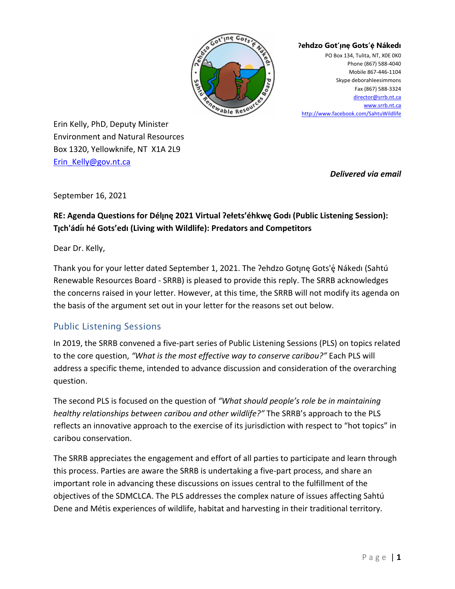

#### **Ɂehdzo Got'ı̨nę Gots'ę́ Nákedı**

PO Box 134, Tulita, NT, X0E 0K0 Phone (867) 588-4040 Mobile 867-446-1104 Skype deborahleesimmons Fax (867) 588-3324 [director@srrb.nt.ca](mailto:director@srrb.nt.ca) [www.srrb.nt.ca](http://www.srrb.nt.ca/) <http://www.facebook.com/SahtuWildlife>

Erin Kelly, PhD, Deputy Minister Environment and Natural Resources Box 1320, Yellowknife, NT X1A 2L9 [Erin\\_Kelly@gov.nt.ca](mailto:Erin_Kelly@gov.nt.ca)

*Delivered via email*

September 16, 2021

#### **RE: Agenda Questions for Délınę 2021 Virtual Ɂełets'éhkwę Godı (Public Listening Session): ̨ T**<sub>I</sub>ch'ádíi hé Gots'edi (Living with Wildlife): Predators and Competitors

Dear Dr. Kelly,

Thank you for your letter dated September 1, 2021. The ?ehdzo Gotjne Gots'é Nákedi (Sahtú Renewable Resources Board - SRRB) is pleased to provide this reply. The SRRB acknowledges the concerns raised in your letter. However, at this time, the SRRB will not modify its agenda on the basis of the argument set out in your letter for the reasons set out below.

# Public Listening Sessions

In 2019, the SRRB convened a five-part series of Public Listening Sessions (PLS) on topics related to the core question, *"What is the most effective way to conserve caribou?"* Each PLS will address a specific theme, intended to advance discussion and consideration of the overarching question.

The second PLS is focused on the question of *"What should people's role be in maintaining healthy relationships between caribou and other wildlife?"* The SRRB's approach to the PLS reflects an innovative approach to the exercise of its jurisdiction with respect to "hot topics" in caribou conservation.

The SRRB appreciates the engagement and effort of all parties to participate and learn through this process. Parties are aware the SRRB is undertaking a five-part process, and share an important role in advancing these discussions on issues central to the fulfillment of the objectives of the SDMCLCA. The PLS addresses the complex nature of issues affecting Sahtú Dene and Métis experiences of wildlife, habitat and harvesting in their traditional territory.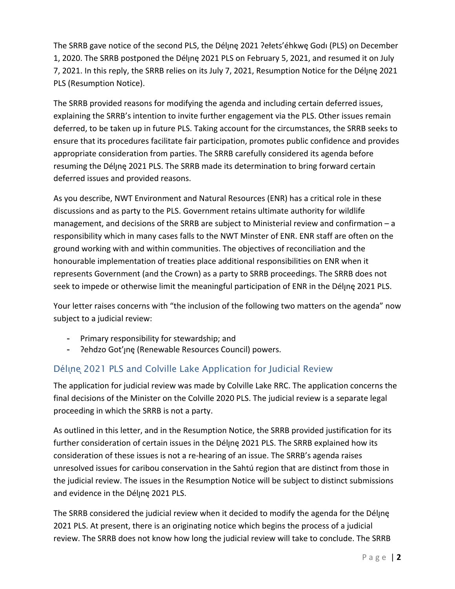The SRRB gave notice of the second PLS, the Déljnę 2021 ?ełets'éhkwę Godi (PLS) on December 1, 2020. The SRRB postponed the Déljne 2021 PLS on February 5, 2021, and resumed it on July 7, 2021. In this reply, the SRRB relies on its July 7, 2021, Resumption Notice for the Déljne 2021 PLS (Resumption Notice).

The SRRB provided reasons for modifying the agenda and including certain deferred issues, explaining the SRRB's intention to invite further engagement via the PLS. Other issues remain deferred, to be taken up in future PLS. Taking account for the circumstances, the SRRB seeks to ensure that its procedures facilitate fair participation, promotes public confidence and provides appropriate consideration from parties. The SRRB carefully considered its agenda before resuming the Délinę 2021 PLS. The SRRB made its determination to bring forward certain deferred issues and provided reasons.

As you describe, NWT Environment and Natural Resources (ENR) has a critical role in these discussions and as party to the PLS. Government retains ultimate authority for wildlife management, and decisions of the SRRB are subject to Ministerial review and confirmation – a responsibility which in many cases falls to the NWT Minster of ENR. ENR staff are often on the ground working with and within communities. The objectives of reconciliation and the honourable implementation of treaties place additional responsibilities on ENR when it represents Government (and the Crown) as a party to SRRB proceedings. The SRRB does not seek to impede or otherwise limit the meaningful participation of ENR in the Déljne 2021 PLS.

Your letter raises concerns with "the inclusion of the following two matters on the agenda" now subject to a judicial review:

- Primary responsibility for stewardship; and
- Pehdzo Got'ınę (Renewable Resources Council) powers.

# Déline 2021 PLS and Colville Lake Application for Judicial Review

The application for judicial review was made by Colville Lake RRC. The application concerns the final decisions of the Minister on the Colville 2020 PLS. The judicial review is a separate legal proceeding in which the SRRB is not a party.

As outlined in this letter, and in the Resumption Notice, the SRRB provided justification for its further consideration of certain issues in the Délyne 2021 PLS. The SRRB explained how its consideration of these issues is not a re-hearing of an issue. The SRRB's agenda raises unresolved issues for caribou conservation in the Sahtú region that are distinct from those in the judicial review. The issues in the Resumption Notice will be subject to distinct submissions and evidence in the Déljne 2021 PLS.

The SRRB considered the judicial review when it decided to modify the agenda for the Délyne 2021 PLS. At present, there is an originating notice which begins the process of a judicial review. The SRRB does not know how long the judicial review will take to conclude. The SRRB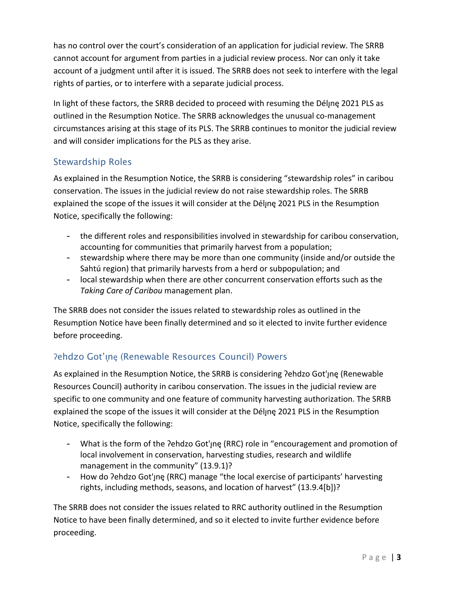has no control over the court's consideration of an application for judicial review. The SRRB cannot account for argument from parties in a judicial review process. Nor can only it take account of a judgment until after it is issued. The SRRB does not seek to interfere with the legal rights of parties, or to interfere with a separate judicial process.

In light of these factors, the SRRB decided to proceed with resuming the Déline 2021 PLS as outlined in the Resumption Notice. The SRRB acknowledges the unusual co-management circumstances arising at this stage of its PLS. The SRRB continues to monitor the judicial review and will consider implications for the PLS as they arise.

# Stewardship Roles

As explained in the Resumption Notice, the SRRB is considering "stewardship roles" in caribou conservation. The issues in the judicial review do not raise stewardship roles. The SRRB explained the scope of the issues it will consider at the Délyne 2021 PLS in the Resumption Notice, specifically the following:

- the different roles and responsibilities involved in stewardship for caribou conservation, accounting for communities that primarily harvest from a population;
- stewardship where there may be more than one community (inside and/or outside the Sahtú region) that primarily harvests from a herd or subpopulation; and
- local stewardship when there are other concurrent conservation efforts such as the *Taking Care of Caribou* management plan.

The SRRB does not consider the issues related to stewardship roles as outlined in the Resumption Notice have been finally determined and so it elected to invite further evidence before proceeding.

# Pehdzo Got'ıne (Renewable Resources Council) Powers

As explained in the Resumption Notice, the SRRB is considering ?ehdzo Got'ıne (Renewable Resources Council) authority in caribou conservation. The issues in the judicial review are specific to one community and one feature of community harvesting authorization. The SRRB explained the scope of the issues it will consider at the Délyne 2021 PLS in the Resumption Notice, specifically the following:

- What is the form of the ?ehdzo Got'une (RRC) role in "encouragement and promotion of local involvement in conservation, harvesting studies, research and wildlife management in the community" (13.9.1)?
- How do ?ehdzo Got'ne (RRC) manage "the local exercise of participants' harvesting rights, including methods, seasons, and location of harvest" (13.9.4[b])?

The SRRB does not consider the issues related to RRC authority outlined in the Resumption Notice to have been finally determined, and so it elected to invite further evidence before proceeding.